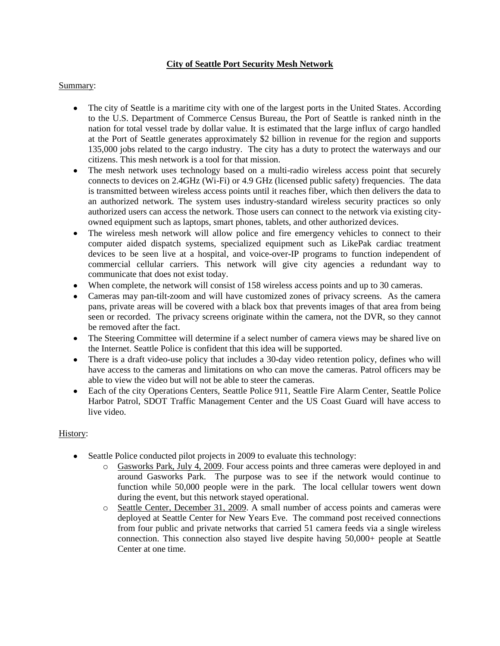## **City of Seattle Port Security Mesh Network**

## Summary:

- The city of Seattle is a maritime city with one of the largest ports in the United States. According  $\bullet$ to the U.S. Department of Commerce Census Bureau, the Port of Seattle is ranked ninth in the nation for total vessel trade by dollar value. It is estimated that the large influx of cargo handled at the Port of Seattle generates approximately \$2 billion in revenue for the region and supports 135,000 jobs related to the cargo industry. The city has a duty to protect the waterways and our citizens. This mesh network is a tool for that mission.
- $\bullet$ The mesh network uses technology based on a multi-radio wireless access point that securely connects to devices on 2.4GHz (Wi-Fi) or 4.9 GHz (licensed public safety) frequencies. The data is transmitted between wireless access points until it reaches fiber, which then delivers the data to an authorized network. The system uses industry-standard wireless security practices so only authorized users can access the network. Those users can connect to the network via existing cityowned equipment such as laptops, smart phones, tablets, and other authorized devices.
- The wireless mesh network will allow police and fire emergency vehicles to connect to their  $\bullet$ computer aided dispatch systems, specialized equipment such as LikePak cardiac treatment devices to be seen live at a hospital, and voice-over-IP programs to function independent of commercial cellular carriers. This network will give city agencies a redundant way to communicate that does not exist today.
- When complete, the network will consist of 158 wireless access points and up to 30 cameras.
- Cameras may pan-tilt-zoom and will have customized zones of privacy screens. As the camera pans, private areas will be covered with a black box that prevents images of that area from being seen or recorded. The privacy screens originate within the camera, not the DVR, so they cannot be removed after the fact.
- The Steering Committee will determine if a select number of camera views may be shared live on the Internet. Seattle Police is confident that this idea will be supported.
- There is a draft video-use policy that includes a 30-day video retention policy, defines who will have access to the cameras and limitations on who can move the cameras. Patrol officers may be able to view the video but will not be able to steer the cameras.
- Each of the city Operations Centers, Seattle Police 911, Seattle Fire Alarm Center, Seattle Police  $\bullet$ Harbor Patrol, SDOT Traffic Management Center and the US Coast Guard will have access to live video.

# History:

- Seattle Police conducted pilot projects in 2009 to evaluate this technology:
	- o Gasworks Park, July 4, 2009. Four access points and three cameras were deployed in and around Gasworks Park. The purpose was to see if the network would continue to function while 50,000 people were in the park. The local cellular towers went down during the event, but this network stayed operational.
	- o Seattle Center, December 31, 2009. A small number of access points and cameras were deployed at Seattle Center for New Years Eve. The command post received connections from four public and private networks that carried 51 camera feeds via a single wireless connection. This connection also stayed live despite having 50,000+ people at Seattle Center at one time.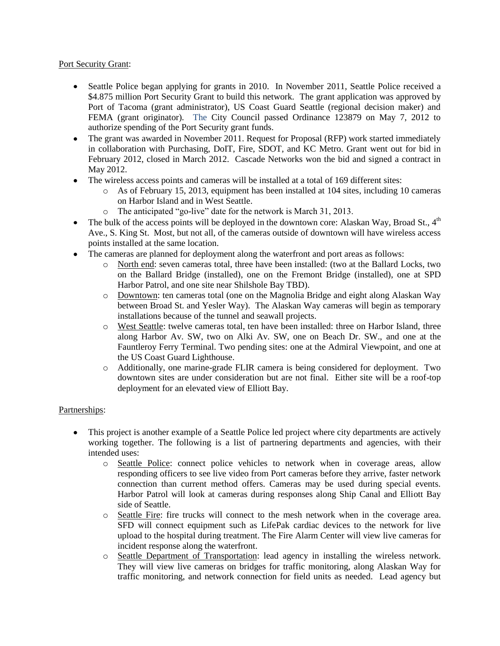### Port Security Grant:

- Seattle Police began applying for grants in 2010. In November 2011, Seattle Police received a \$4.875 million Port Security Grant to build this network. The grant application was approved by Port of Tacoma (grant administrator), US Coast Guard Seattle (regional decision maker) and FEMA (grant originator). The City Council passed Ordinance 123879 on May 7, 2012 to authorize spending of the Port Security grant funds.
- The grant was awarded in November 2011. Request for Proposal (RFP) work started immediately in collaboration with Purchasing, DoIT, Fire, SDOT, and KC Metro. Grant went out for bid in February 2012, closed in March 2012. Cascade Networks won the bid and signed a contract in May 2012.
- The wireless access points and cameras will be installed at a total of 169 different sites:
	- o As of February 15, 2013, equipment has been installed at 104 sites, including 10 cameras on Harbor Island and in West Seattle.
	- o The anticipated "go-live" date for the network is March 31, 2013.
- The bulk of the access points will be deployed in the downtown core: Alaskan Way, Broad St.,  $4<sup>th</sup>$  $\bullet$ Ave., S. King St. Most, but not all, of the cameras outside of downtown will have wireless access points installed at the same location.
- The cameras are planned for deployment along the waterfront and port areas as follows:
	- o North end: seven cameras total, three have been installed: (two at the Ballard Locks, two on the Ballard Bridge (installed), one on the Fremont Bridge (installed), one at SPD Harbor Patrol, and one site near Shilshole Bay TBD).
	- o Downtown: ten cameras total (one on the Magnolia Bridge and eight along Alaskan Way between Broad St. and Yesler Way). The Alaskan Way cameras will begin as temporary installations because of the tunnel and seawall projects.
	- o West Seattle: twelve cameras total, ten have been installed: three on Harbor Island, three along Harbor Av. SW, two on Alki Av. SW, one on Beach Dr. SW., and one at the Fauntleroy Ferry Terminal. Two pending sites: one at the Admiral Viewpoint, and one at the US Coast Guard Lighthouse.
	- o Additionally, one marine-grade FLIR camera is being considered for deployment. Two downtown sites are under consideration but are not final. Either site will be a roof-top deployment for an elevated view of Elliott Bay.

# Partnerships:

- This project is another example of a Seattle Police led project where city departments are actively working together. The following is a list of partnering departments and agencies, with their intended uses:
	- o Seattle Police: connect police vehicles to network when in coverage areas, allow responding officers to see live video from Port cameras before they arrive, faster network connection than current method offers. Cameras may be used during special events. Harbor Patrol will look at cameras during responses along Ship Canal and Elliott Bay side of Seattle.
	- o Seattle Fire: fire trucks will connect to the mesh network when in the coverage area. SFD will connect equipment such as LifePak cardiac devices to the network for live upload to the hospital during treatment. The Fire Alarm Center will view live cameras for incident response along the waterfront.
	- o Seattle Department of Transportation: lead agency in installing the wireless network. They will view live cameras on bridges for traffic monitoring, along Alaskan Way for traffic monitoring, and network connection for field units as needed. Lead agency but